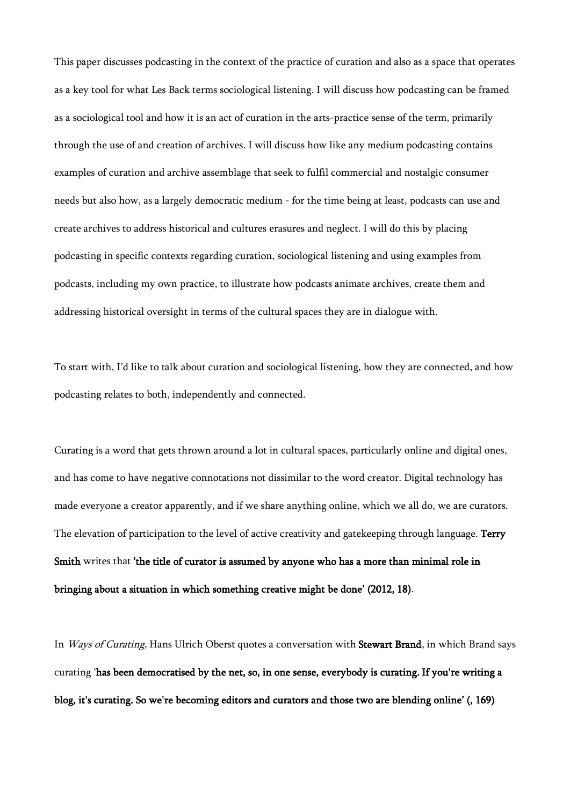This paper discusses podcasting in the context of the practice of curation and also as a space that operates as a key tool for what Les Back terms sociological listening. I will discuss how podcasting can be framed as a sociological tool and how it is an act of curation in the arts-practice sense of the term, primarily through the use of and creation of archives. I will discuss how like any medium podcasting contains examples of curation and archive assemblage that seek to fulfil commercial and nostalgic consumer needs but also how, as a largely democratic medium - for the time being at least, podcasts can use and create archives to address historical and cultures erasures and neglect. I will do this by placing podcasting in specific contexts regarding curation, sociological listening and using examples from podcasts, including my own practice, to illustrate how podcasts animate archives, create them and addressing historical oversight in terms of the cultural spaces they are in dialogue with.

To start with, I'd like to talk about curation and sociological listening, how they are connected, and how podcasting relates to both, independently and connected.

Curating is a word that gets thrown around a lot in cultural spaces, particularly online and digital ones, and has come to have negative connotations not dissimilar to the word creator. Digital technology has made everyone a creator apparently, and if we share anything online, which we all do, we are curators. The elevation of participation to the level of active creativity and gatekeeping through language. Terry Smith writes that 'the title of curator is assumed by anyone who has a more than minimal role in bringing about a situation in which something creative might be done' (2012, 18).

In *Ways of Curating*, Hans Ulrich Oberst quotes a conversation with **Stewart Brand**, in which Brand says curating 'has been democratised by the net, so, in one sense, everybody is curating. If you're writing a blog, it's curating. So we're becoming editors and curators and those two are blending online' (, 169)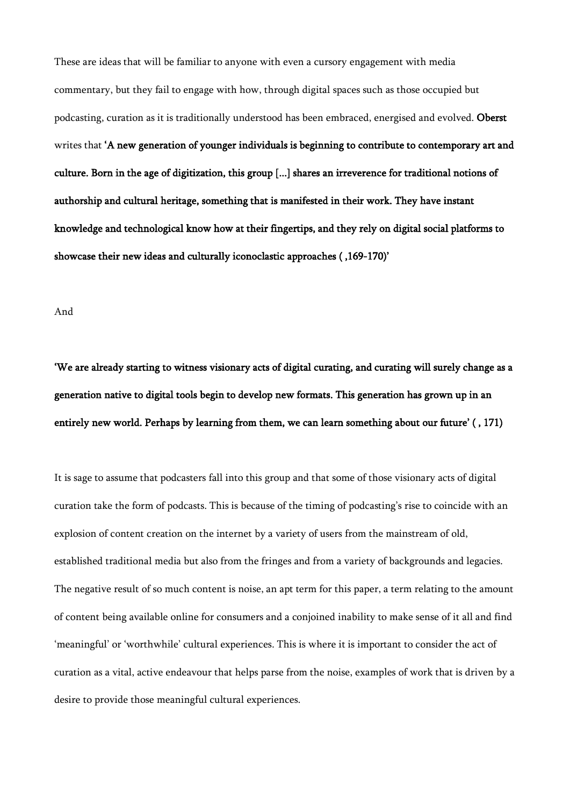These are ideas that will be familiar to anyone with even a cursory engagement with media commentary, but they fail to engage with how, through digital spaces such as those occupied but podcasting, curation as it is traditionally understood has been embraced, energised and evolved. Oberst writes that 'A new generation of younger individuals is beginning to contribute to contemporary art and culture. Born in the age of digitization, this group [...] shares an irreverence for traditional notions of authorship and cultural heritage, something that is manifested in their work. They have instant knowledge and technological know how at their fingertips, and they rely on digital social platforms to showcase their new ideas and culturally iconoclastic approaches ( ,169-170)'

#### And

'We are already starting to witness visionary acts of digital curating, and curating will surely change as a generation native to digital tools begin to develop new formats. This generation has grown up in an entirely new world. Perhaps by learning from them, we can learn something about our future' ( , 171)

It is sage to assume that podcasters fall into this group and that some of those visionary acts of digital curation take the form of podcasts. This is because of the timing of podcasting's rise to coincide with an explosion of content creation on the internet by a variety of users from the mainstream of old, established traditional media but also from the fringes and from a variety of backgrounds and legacies. The negative result of so much content is noise, an apt term for this paper, a term relating to the amount of content being available online for consumers and a conjoined inability to make sense of it all and find 'meaningful' or 'worthwhile' cultural experiences. This is where it is important to consider the act of curation as a vital, active endeavour that helps parse from the noise, examples of work that is driven by a desire to provide those meaningful cultural experiences.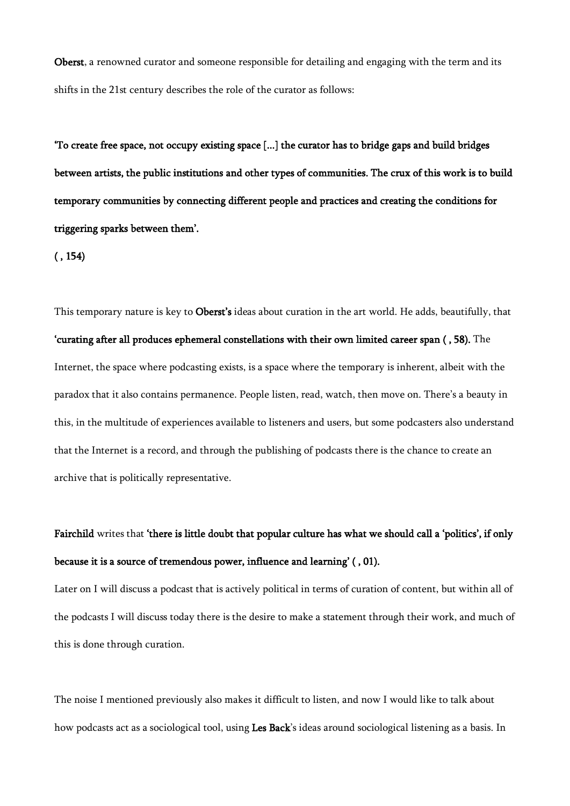Oberst, a renowned curator and someone responsible for detailing and engaging with the term and its shifts in the 21st century describes the role of the curator as follows:

'To create free space, not occupy existing space [...] the curator has to bridge gaps and build bridges between artists, the public institutions and other types of communities. The crux of this work is to build temporary communities by connecting different people and practices and creating the conditions for triggering sparks between them'.

 $($ , 154)

This temporary nature is key to **Oberst's** ideas about curation in the art world. He adds, beautifully, that 'curating after all produces ephemeral constellations with their own limited career span ( , 58). The Internet, the space where podcasting exists, is a space where the temporary is inherent, albeit with the paradox that it also contains permanence. People listen, read, watch, then move on. There's a beauty in this, in the multitude of experiences available to listeners and users, but some podcasters also understand that the Internet is a record, and through the publishing of podcasts there is the chance to create an archive that is politically representative.

# Fairchild writes that 'there is little doubt that popular culture has what we should call a 'politics', if only because it is a source of tremendous power, influence and learning' ( , 01).

Later on I will discuss a podcast that is actively political in terms of curation of content, but within all of the podcasts I will discuss today there is the desire to make a statement through their work, and much of this is done through curation.

The noise I mentioned previously also makes it difficult to listen, and now I would like to talk about how podcasts act as a sociological tool, using Les Back's ideas around sociological listening as a basis. In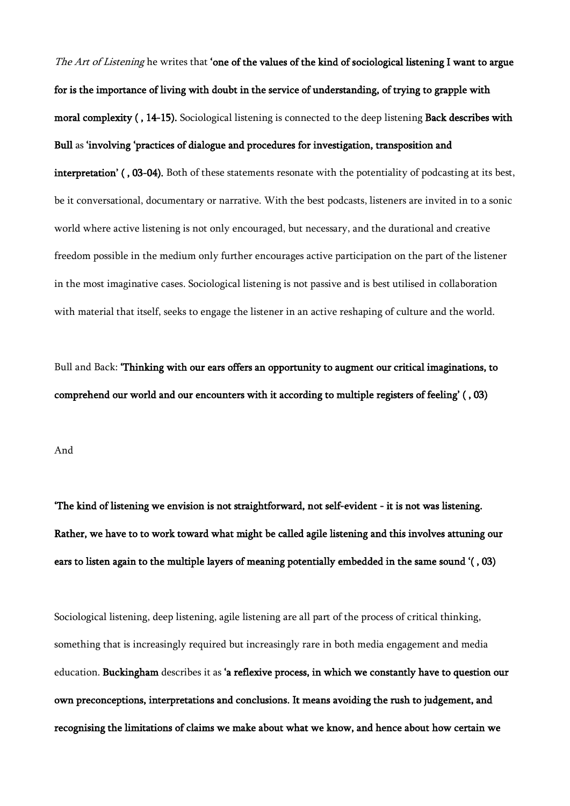The Art of Listening he writes that 'one of the values of the kind of sociological listening I want to argue for is the importance of living with doubt in the service of understanding, of trying to grapple with moral complexity ( , 14-15). Sociological listening is connected to the deep listening Back describes with Bull as 'involving 'practices of dialogue and procedures for investigation, transposition and interpretation' ( , 03-04). Both of these statements resonate with the potentiality of podcasting at its best, be it conversational, documentary or narrative. With the best podcasts, listeners are invited in to a sonic world where active listening is not only encouraged, but necessary, and the durational and creative freedom possible in the medium only further encourages active participation on the part of the listener in the most imaginative cases. Sociological listening is not passive and is best utilised in collaboration with material that itself, seeks to engage the listener in an active reshaping of culture and the world.

Bull and Back: 'Thinking with our ears offers an opportunity to augment our critical imaginations, to comprehend our world and our encounters with it according to multiple registers of feeling' ( , 03)

And

'The kind of listening we envision is not straightforward, not self-evident - it is not was listening. Rather, we have to to work toward what might be called agile listening and this involves attuning our ears to listen again to the multiple layers of meaning potentially embedded in the same sound '( , 03)

Sociological listening, deep listening, agile listening are all part of the process of critical thinking, something that is increasingly required but increasingly rare in both media engagement and media education. Buckingham describes it as 'a reflexive process, in which we constantly have to question our own preconceptions, interpretations and conclusions. It means avoiding the rush to judgement, and recognising the limitations of claims we make about what we know, and hence about how certain we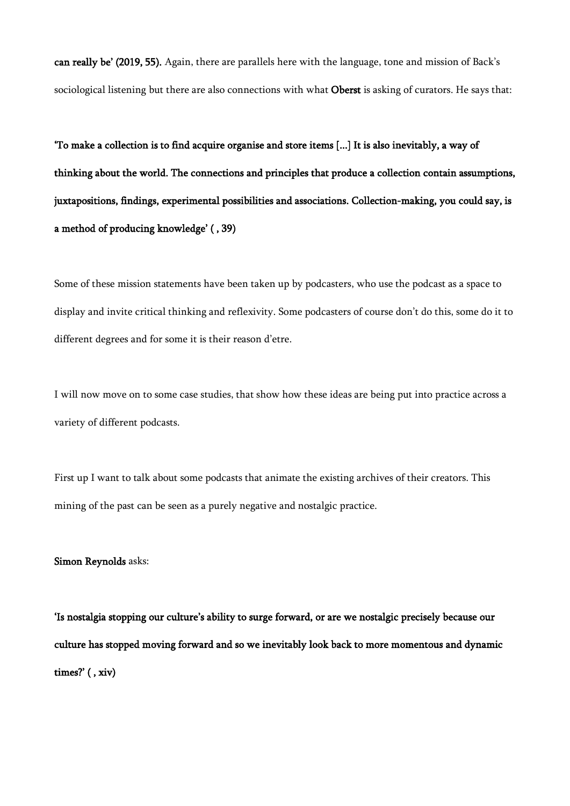can really be' (2019, 55). Again, there are parallels here with the language, tone and mission of Back's sociological listening but there are also connections with what Oberst is asking of curators. He says that:

'To make a collection is to find acquire organise and store items [...] It is also inevitably, a way of thinking about the world. The connections and principles that produce a collection contain assumptions, juxtapositions, findings, experimental possibilities and associations. Collection-making, you could say, is a method of producing knowledge' ( , 39)

Some of these mission statements have been taken up by podcasters, who use the podcast as a space to display and invite critical thinking and reflexivity. Some podcasters of course don't do this, some do it to different degrees and for some it is their reason d'etre.

I will now move on to some case studies, that show how these ideas are being put into practice across a variety of different podcasts.

First up I want to talk about some podcasts that animate the existing archives of their creators. This mining of the past can be seen as a purely negative and nostalgic practice.

## Simon Reynolds asks:

'Is nostalgia stopping our culture's ability to surge forward, or are we nostalgic precisely because our culture has stopped moving forward and so we inevitably look back to more momentous and dynamic times?' ( , xiv)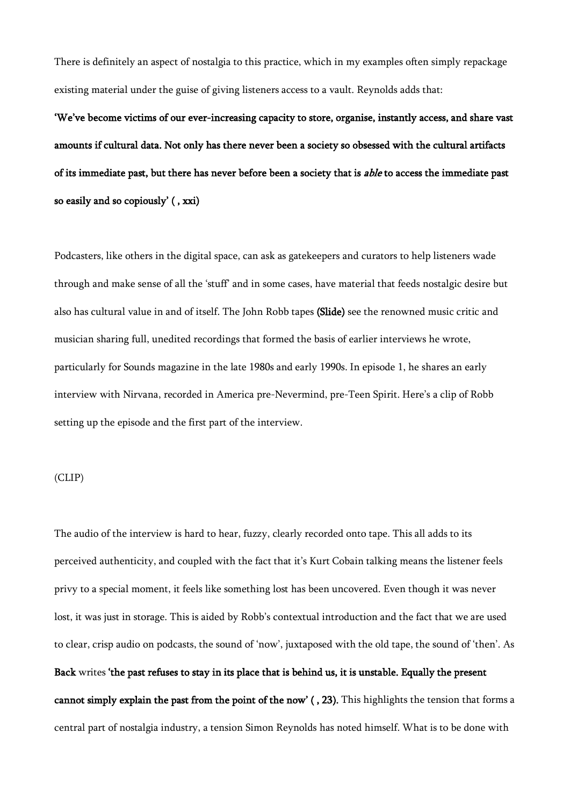There is definitely an aspect of nostalgia to this practice, which in my examples often simply repackage existing material under the guise of giving listeners access to a vault. Reynolds adds that:

'We've become victims of our ever-increasing capacity to store, organise, instantly access, and share vast amounts if cultural data. Not only has there never been a society so obsessed with the cultural artifacts of its immediate past, but there has never before been a society that is *able* to access the immediate past so easily and so copiously' ( , xxi)

Podcasters, like others in the digital space, can ask as gatekeepers and curators to help listeners wade through and make sense of all the 'stuff' and in some cases, have material that feeds nostalgic desire but also has cultural value in and of itself. The John Robb tapes (Slide) see the renowned music critic and musician sharing full, unedited recordings that formed the basis of earlier interviews he wrote, particularly for Sounds magazine in the late 1980s and early 1990s. In episode 1, he shares an early interview with Nirvana, recorded in America pre-Nevermind, pre-Teen Spirit. Here's a clip of Robb setting up the episode and the first part of the interview.

# (CLIP)

The audio of the interview is hard to hear, fuzzy, clearly recorded onto tape. This all adds to its perceived authenticity, and coupled with the fact that it's Kurt Cobain talking means the listener feels privy to a special moment, it feels like something lost has been uncovered. Even though it was never lost, it was just in storage. This is aided by Robb's contextual introduction and the fact that we are used to clear, crisp audio on podcasts, the sound of 'now', juxtaposed with the old tape, the sound of 'then'. As Back writes 'the past refuses to stay in its place that is behind us, it is unstable. Equally the present cannot simply explain the past from the point of the now' ( , 23). This highlights the tension that forms a central part of nostalgia industry, a tension Simon Reynolds has noted himself. What is to be done with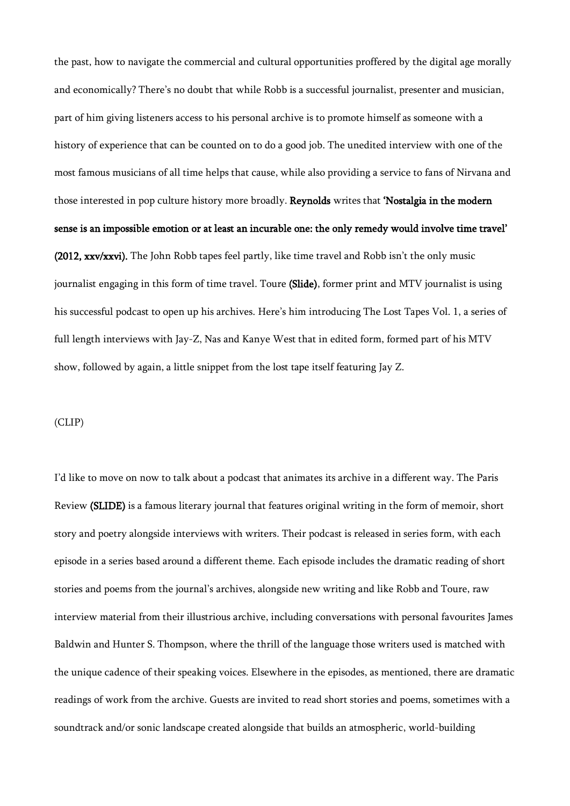the past, how to navigate the commercial and cultural opportunities proffered by the digital age morally and economically? There's no doubt that while Robb is a successful journalist, presenter and musician, part of him giving listeners access to his personal archive is to promote himself as someone with a history of experience that can be counted on to do a good job. The unedited interview with one of the most famous musicians of all time helps that cause, while also providing a service to fans of Nirvana and those interested in pop culture history more broadly. Reynolds writes that 'Nostalgia in the modern sense is an impossible emotion or at least an incurable one: the only remedy would involve time travel' (2012, xxv/xxvi). The John Robb tapes feel partly, like time travel and Robb isn't the only music journalist engaging in this form of time travel. Toure (Slide), former print and MTV journalist is using his successful podcast to open up his archives. Here's him introducing The Lost Tapes Vol. 1, a series of full length interviews with Jay-Z, Nas and Kanye West that in edited form, formed part of his MTV show, followed by again, a little snippet from the lost tape itself featuring Jay Z.

### (CLIP)

I'd like to move on now to talk about a podcast that animates its archive in a different way. The Paris Review (SLIDE) is a famous literary journal that features original writing in the form of memoir, short story and poetry alongside interviews with writers. Their podcast is released in series form, with each episode in a series based around a different theme. Each episode includes the dramatic reading of short stories and poems from the journal's archives, alongside new writing and like Robb and Toure, raw interview material from their illustrious archive, including conversations with personal favourites James Baldwin and Hunter S. Thompson, where the thrill of the language those writers used is matched with the unique cadence of their speaking voices. Elsewhere in the episodes, as mentioned, there are dramatic readings of work from the archive. Guests are invited to read short stories and poems, sometimes with a soundtrack and/or sonic landscape created alongside that builds an atmospheric, world-building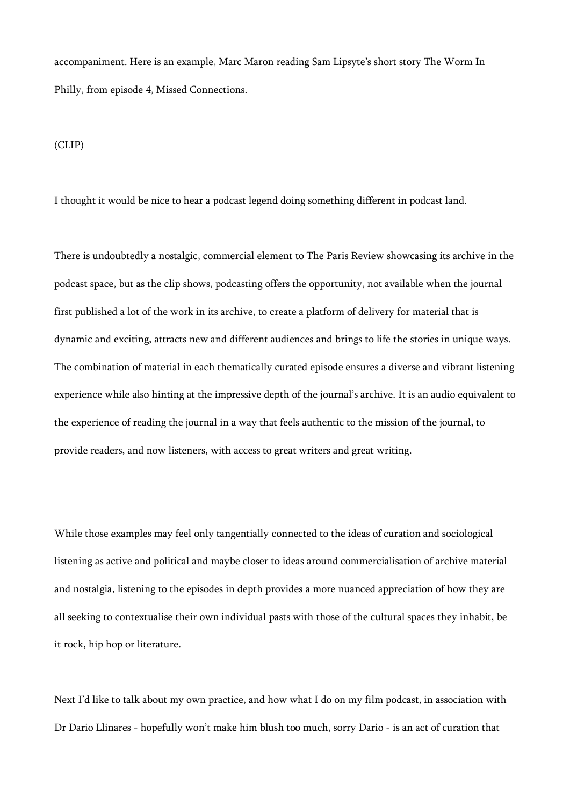accompaniment. Here is an example, Marc Maron reading Sam Lipsyte's short story The Worm In Philly, from episode 4, Missed Connections.

(CLIP)

I thought it would be nice to hear a podcast legend doing something different in podcast land.

There is undoubtedly a nostalgic, commercial element to The Paris Review showcasing its archive in the podcast space, but as the clip shows, podcasting offers the opportunity, not available when the journal first published a lot of the work in its archive, to create a platform of delivery for material that is dynamic and exciting, attracts new and different audiences and brings to life the stories in unique ways. The combination of material in each thematically curated episode ensures a diverse and vibrant listening experience while also hinting at the impressive depth of the journal's archive. It is an audio equivalent to the experience of reading the journal in a way that feels authentic to the mission of the journal, to provide readers, and now listeners, with access to great writers and great writing.

While those examples may feel only tangentially connected to the ideas of curation and sociological listening as active and political and maybe closer to ideas around commercialisation of archive material and nostalgia, listening to the episodes in depth provides a more nuanced appreciation of how they are all seeking to contextualise their own individual pasts with those of the cultural spaces they inhabit, be it rock, hip hop or literature.

Next I'd like to talk about my own practice, and how what I do on my film podcast, in association with Dr Dario Llinares - hopefully won't make him blush too much, sorry Dario - is an act of curation that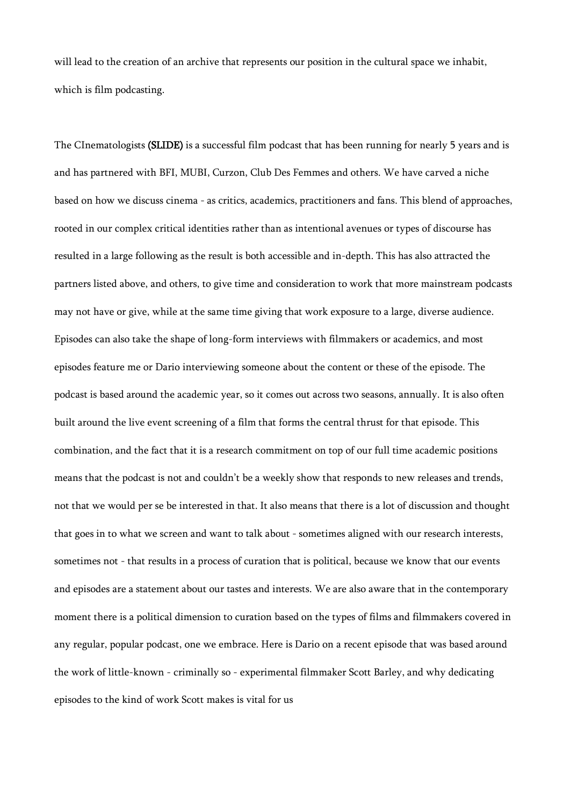will lead to the creation of an archive that represents our position in the cultural space we inhabit, which is film podcasting.

The CInematologists (SLIDE) is a successful film podcast that has been running for nearly 5 years and is and has partnered with BFI, MUBI, Curzon, Club Des Femmes and others. We have carved a niche based on how we discuss cinema - as critics, academics, practitioners and fans. This blend of approaches, rooted in our complex critical identities rather than as intentional avenues or types of discourse has resulted in a large following as the result is both accessible and in-depth. This has also attracted the partners listed above, and others, to give time and consideration to work that more mainstream podcasts may not have or give, while at the same time giving that work exposure to a large, diverse audience. Episodes can also take the shape of long-form interviews with filmmakers or academics, and most episodes feature me or Dario interviewing someone about the content or these of the episode. The podcast is based around the academic year, so it comes out across two seasons, annually. It is also often built around the live event screening of a film that forms the central thrust for that episode. This combination, and the fact that it is a research commitment on top of our full time academic positions means that the podcast is not and couldn't be a weekly show that responds to new releases and trends, not that we would per se be interested in that. It also means that there is a lot of discussion and thought that goes in to what we screen and want to talk about - sometimes aligned with our research interests, sometimes not - that results in a process of curation that is political, because we know that our events and episodes are a statement about our tastes and interests. We are also aware that in the contemporary moment there is a political dimension to curation based on the types of films and filmmakers covered in any regular, popular podcast, one we embrace. Here is Dario on a recent episode that was based around the work of little-known - criminally so - experimental filmmaker Scott Barley, and why dedicating episodes to the kind of work Scott makes is vital for us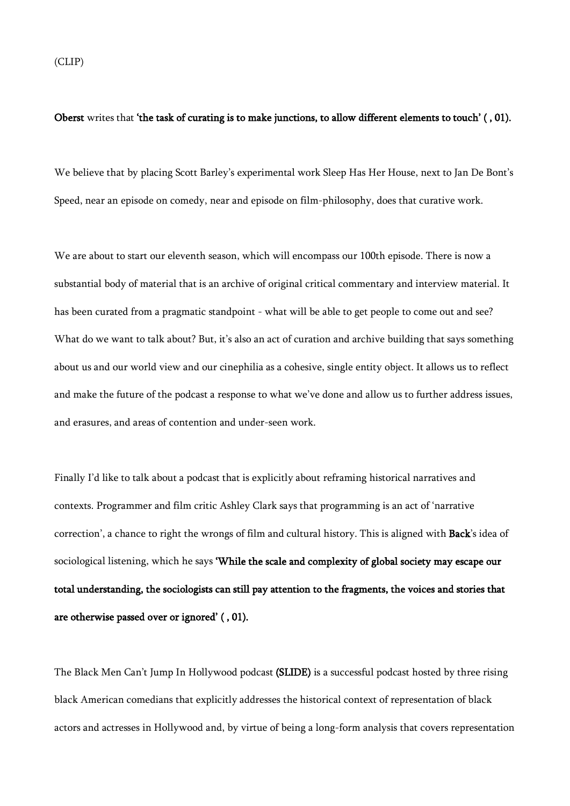## Oberst writes that 'the task of curating is to make junctions, to allow different elements to touch' ( , 01).

We believe that by placing Scott Barley's experimental work Sleep Has Her House, next to Jan De Bont's Speed, near an episode on comedy, near and episode on film-philosophy, does that curative work.

We are about to start our eleventh season, which will encompass our 100th episode. There is now a substantial body of material that is an archive of original critical commentary and interview material. It has been curated from a pragmatic standpoint - what will be able to get people to come out and see? What do we want to talk about? But, it's also an act of curation and archive building that says something about us and our world view and our cinephilia as a cohesive, single entity object. It allows us to reflect and make the future of the podcast a response to what we've done and allow us to further address issues, and erasures, and areas of contention and under-seen work.

Finally I'd like to talk about a podcast that is explicitly about reframing historical narratives and contexts. Programmer and film critic Ashley Clark says that programming is an act of 'narrative correction', a chance to right the wrongs of film and cultural history. This is aligned with Back's idea of sociological listening, which he says 'While the scale and complexity of global society may escape our total understanding, the sociologists can still pay attention to the fragments, the voices and stories that are otherwise passed over or ignored' ( , 01).

The Black Men Can't Jump In Hollywood podcast (SLIDE) is a successful podcast hosted by three rising black American comedians that explicitly addresses the historical context of representation of black actors and actresses in Hollywood and, by virtue of being a long-form analysis that covers representation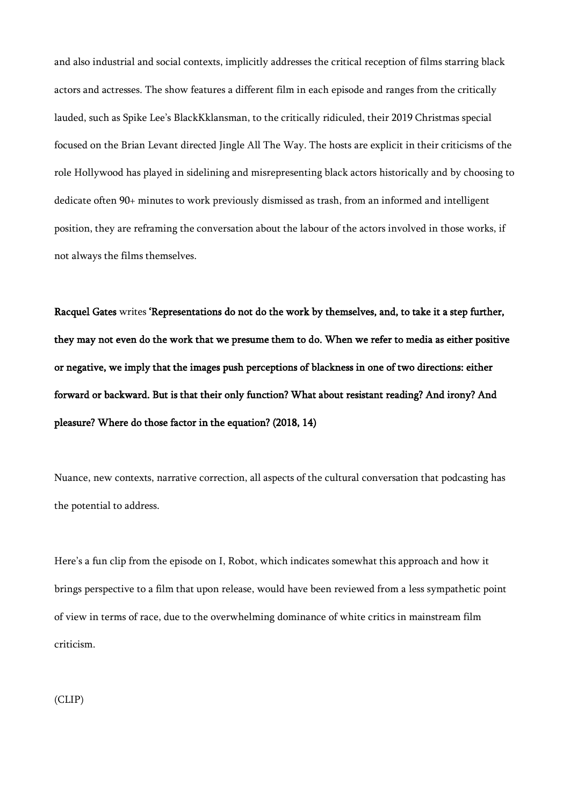and also industrial and social contexts, implicitly addresses the critical reception of films starring black actors and actresses. The show features a different film in each episode and ranges from the critically lauded, such as Spike Lee's BlackKklansman, to the critically ridiculed, their 2019 Christmas special focused on the Brian Levant directed Jingle All The Way. The hosts are explicit in their criticisms of the role Hollywood has played in sidelining and misrepresenting black actors historically and by choosing to dedicate often 90+ minutes to work previously dismissed as trash, from an informed and intelligent position, they are reframing the conversation about the labour of the actors involved in those works, if not always the films themselves.

Racquel Gates writes 'Representations do not do the work by themselves, and, to take it a step further, they may not even do the work that we presume them to do. When we refer to media as either positive or negative, we imply that the images push perceptions of blackness in one of two directions: either forward or backward. But is that their only function? What about resistant reading? And irony? And pleasure? Where do those factor in the equation? (2018, 14)

Nuance, new contexts, narrative correction, all aspects of the cultural conversation that podcasting has the potential to address.

Here's a fun clip from the episode on I, Robot, which indicates somewhat this approach and how it brings perspective to a film that upon release, would have been reviewed from a less sympathetic point of view in terms of race, due to the overwhelming dominance of white critics in mainstream film criticism.

(CLIP)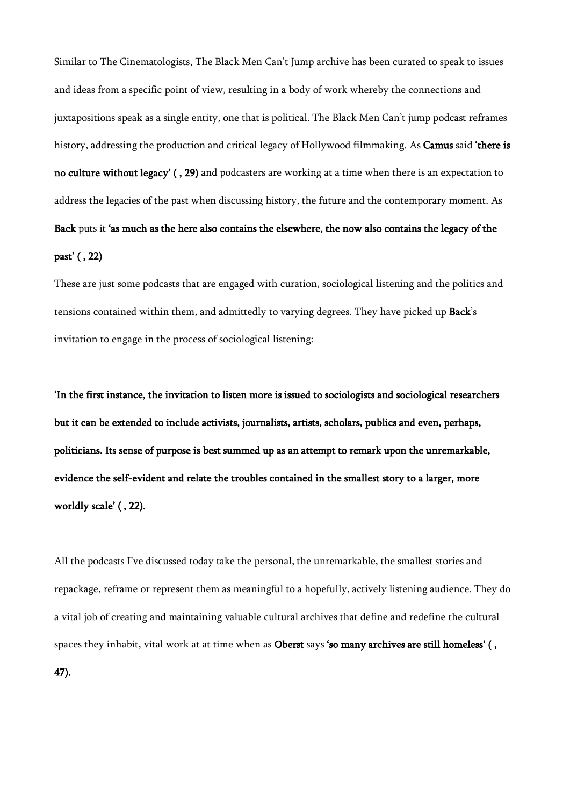Similar to The Cinematologists, The Black Men Can't Jump archive has been curated to speak to issues and ideas from a specific point of view, resulting in a body of work whereby the connections and juxtapositions speak as a single entity, one that is political. The Black Men Can't jump podcast reframes history, addressing the production and critical legacy of Hollywood filmmaking. As **Camus** said 'there is no culture without legacy' ( , 29) and podcasters are working at a time when there is an expectation to address the legacies of the past when discussing history, the future and the contemporary moment. As Back puts it 'as much as the here also contains the elsewhere, the now also contains the legacy of the past' ( , 22)

These are just some podcasts that are engaged with curation, sociological listening and the politics and tensions contained within them, and admittedly to varying degrees. They have picked up Back's invitation to engage in the process of sociological listening:

'In the first instance, the invitation to listen more is issued to sociologists and sociological researchers but it can be extended to include activists, journalists, artists, scholars, publics and even, perhaps, politicians. Its sense of purpose is best summed up as an attempt to remark upon the unremarkable, evidence the self-evident and relate the troubles contained in the smallest story to a larger, more worldly scale' ( , 22).

All the podcasts I've discussed today take the personal, the unremarkable, the smallest stories and repackage, reframe or represent them as meaningful to a hopefully, actively listening audience. They do a vital job of creating and maintaining valuable cultural archives that define and redefine the cultural spaces they inhabit, vital work at at time when as Oberst says 'so many archives are still homeless' (, 47).